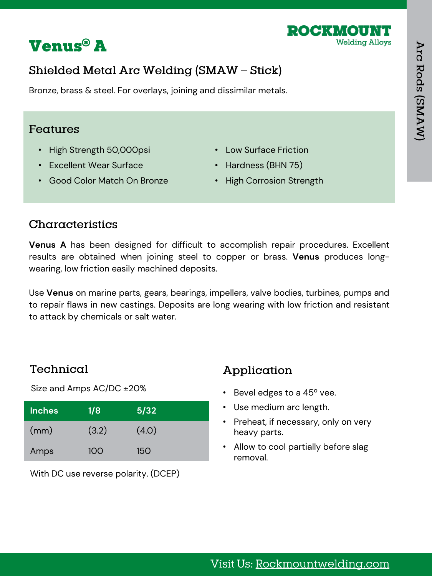



# Shielded Metal Arc Welding (SMAW - Stick)

Bronze, brass & steel. For overlays, joining and dissimilar metals.

### Features

- High Strength 50,000psi
- Excellent Wear Surface
- Good Color Match On Bronze
- Low Surface Friction
- Hardness (BHN 75)
- High Corrosion Strength

### Characteristics

**Venus A** has been designed for difficult to accomplish repair procedures. Excellent results are obtained when joining steel to copper or brass. **Venus** produces longwearing, low friction easily machined deposits.

Use **Venus** on marine parts, gears, bearings, impellers, valve bodies, turbines, pumps and to repair flaws in new castings. Deposits are long wearing with low friction and resistant to attack by chemicals or salt water.

## Technical

Size and Amps AC/DC ±20%

| <b>Inches</b> | 1/8   | 5/32       |
|---------------|-------|------------|
| (mm)          | (3.2) | (4.0)      |
| Amps          | 100   | <b>150</b> |

With DC use reverse polarity. (DCEP)

# Application

- Bevel edges to a 45º vee.
- Use medium arc length.
- Preheat, if necessary, only on very heavy parts.
- Allow to cool partially before slag removal.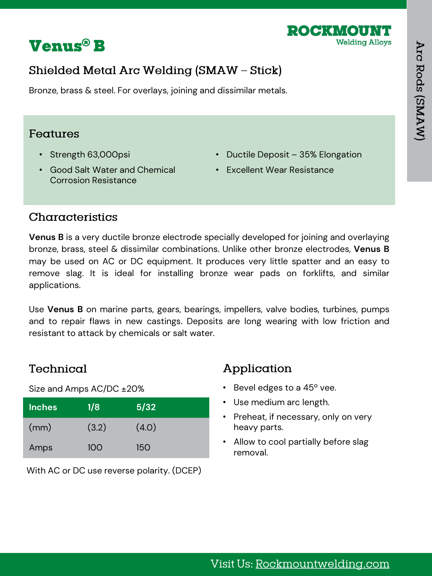



# Shielded Metal Arc Welding (SMAW - Stick)

Bronze, brass & steel. For overlays, joining and dissimilar metals.

#### Features

- Strength 63,000psi
- Good Salt Water and Chemical Corrosion Resistance
- Ductile Deposit 35% Elongation
- Excellent Wear Resistance

### Characteristics

**Venus B** is a very ductile bronze electrode specially developed for joining and overlaying bronze, brass, steel & dissimilar combinations. Unlike other bronze electrodes, **Venus B** may be used on AC or DC equipment. It produces very little spatter and an easy to remove slag. It is ideal for installing bronze wear pads on forklifts, and similar applications.

Use **Venus B** on marine parts, gears, bearings, impellers, valve bodies, turbines, pumps and to repair flaws in new castings. Deposits are long wearing with low friction and resistant to attack by chemicals or salt water.

### Technical

Size and Amps AC/DC ±20%

| <b>Inches</b> | 1/8   | 5/32       |
|---------------|-------|------------|
| (mm)          | (3.2) | (4.0)      |
| Amps          | 100   | <b>150</b> |

With AC or DC use reverse polarity. (DCEP)

## Application

- Bevel edges to a 45º vee.
- Use medium arc length.
- Preheat, if necessary, only on very heavy parts.
- Allow to cool partially before slag removal.